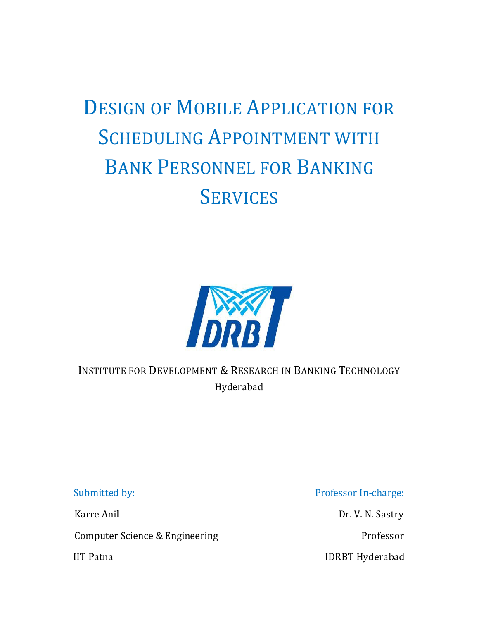# DESIGN OF MOBILE APPLICATION FOR SCHEDULING APPOINTMENT WITH BANK PERSONNEL FOR BANKING **SERVICES**



INSTITUTE FOR DEVELOPMENT & RESEARCH IN BANKING TECHNOLOGY Hyderabad

Computer Science & Engineering Professor

Submitted by: Professor In-charge:

Karre Anil Dr. V. N. Sastry

IIT Patna and a state of the IDRBT Hyderabad IDRBT Hyderabad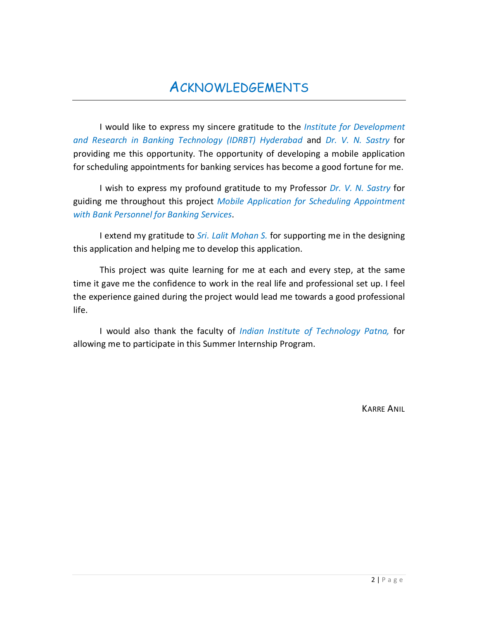# ACKNOWLEDGEMENTS

 I would like to express my sincere gratitude to the *Institute for Development and Research in Banking Technology (IDRBT) Hyderabad* and *Dr. V. N. Sastry* for providing me this opportunity. The opportunity of developing a mobile application for scheduling appointments for banking services has become a good fortune for me.

 I wish to express my profound gratitude to my Professor *Dr. V. N. Sastry* for guiding me throughout this project *Mobile Application for Scheduling Appointment with Bank Personnel for Banking Services*.

 I extend my gratitude to *Sri. Lalit Mohan S.* for supporting me in the designing this application and helping me to develop this application.

 This project was quite learning for me at each and every step, at the same time it gave me the confidence to work in the real life and professional set up. I feel the experience gained during the project would lead me towards a good professional life.

 I would also thank the faculty of *Indian Institute of Technology Patna,* for allowing me to participate in this Summer Internship Program.

KARRE ANIL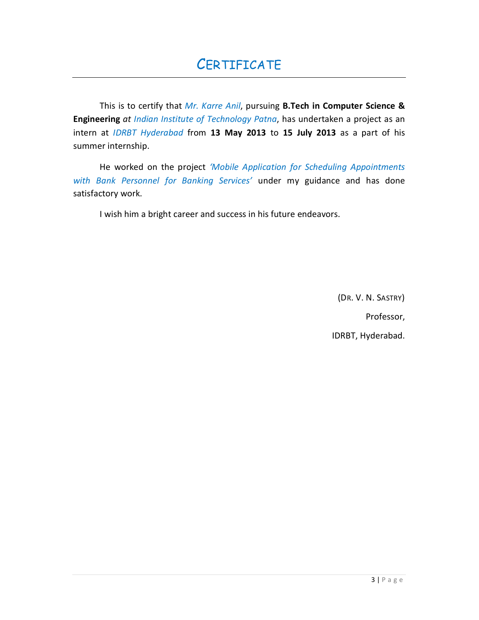This is to certify that *Mr. Karre Anil*, pursuing **B.Tech in Computer Science & Engineering** *at Indian Institute of Technology Patna*, has undertaken a project as an intern at *IDRBT Hyderabad* from **13 May 2013** to **15 July 2013** as a part of his summer internship.

 He worked on the project *'Mobile Application for Scheduling Appointments with Bank Personnel for Banking Services'* under my guidance and has done satisfactory work.

I wish him a bright career and success in his future endeavors.

(DR. V. N. SASTRY)

Professor,

IDRBT, Hyderabad.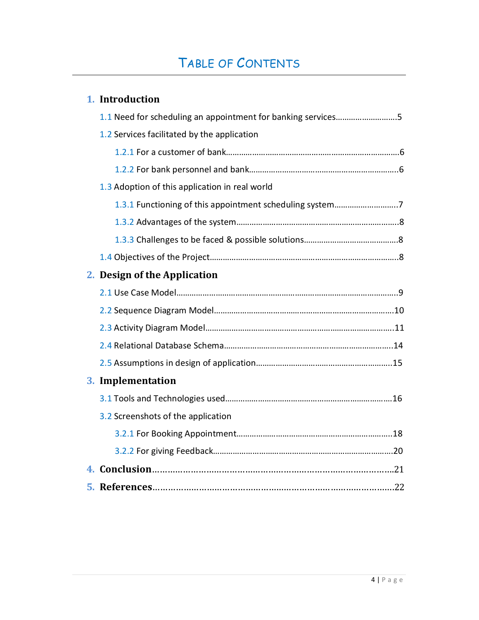# TABLE OF CONTENTS

| 1. Introduction                                              |
|--------------------------------------------------------------|
| 1.1 Need for scheduling an appointment for banking services5 |
| 1.2 Services facilitated by the application                  |
|                                                              |
|                                                              |
| 1.3 Adoption of this application in real world               |
| 1.3.1 Functioning of this appointment scheduling system7     |
|                                                              |
|                                                              |
|                                                              |
| 2. Design of the Application                                 |
|                                                              |
|                                                              |
|                                                              |
|                                                              |
|                                                              |
| 3. Implementation                                            |
|                                                              |
| 3.2 Screenshots of the application                           |
|                                                              |
|                                                              |
|                                                              |
|                                                              |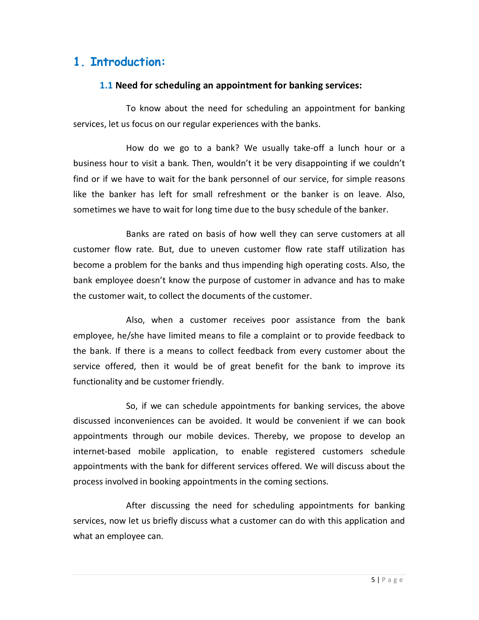## **1. Introduction:**

#### **1.1 Need for scheduling an appointment for banking services:**

To know about the need for scheduling an appointment for banking services, let us focus on our regular experiences with the banks.

 How do we go to a bank? We usually take-off a lunch hour or a business hour to visit a bank. Then, wouldn't it be very disappointing if we couldn't find or if we have to wait for the bank personnel of our service, for simple reasons like the banker has left for small refreshment or the banker is on leave. Also, sometimes we have to wait for long time due to the busy schedule of the banker.

 Banks are rated on basis of how well they can serve customers at all customer flow rate. But, due to uneven customer flow rate staff utilization has become a problem for the banks and thus impending high operating costs. Also, the bank employee doesn't know the purpose of customer in advance and has to make the customer wait, to collect the documents of the customer.

 Also, when a customer receives poor assistance from the bank employee, he/she have limited means to file a complaint or to provide feedback to the bank. If there is a means to collect feedback from every customer about the service offered, then it would be of great benefit for the bank to improve its functionality and be customer friendly.

 So, if we can schedule appointments for banking services, the above discussed inconveniences can be avoided. It would be convenient if we can book appointments through our mobile devices. Thereby, we propose to develop an internet-based mobile application, to enable registered customers schedule appointments with the bank for different services offered. We will discuss about the process involved in booking appointments in the coming sections.

 After discussing the need for scheduling appointments for banking services, now let us briefly discuss what a customer can do with this application and what an employee can.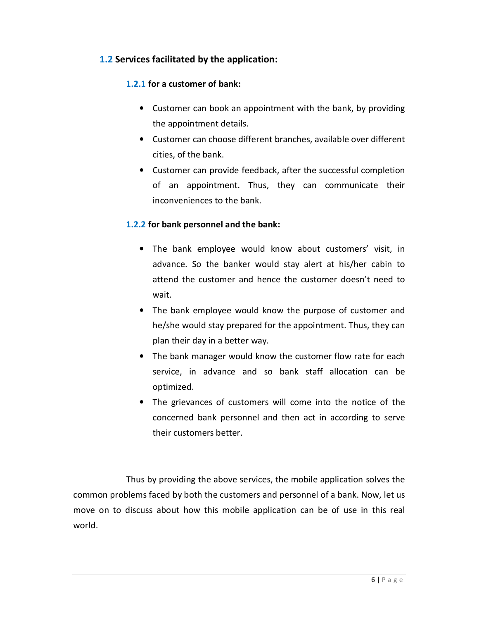#### **1.2 Services facilitated by the application:**

#### **1.2.1 for a customer of bank:**

- Customer can book an appointment with the bank, by providing the appointment details.
- Customer can choose different branches, available over different cities, of the bank.
- Customer can provide feedback, after the successful completion of an appointment. Thus, they can communicate their inconveniences to the bank.

#### **1.2.2 for bank personnel and the bank:**

- The bank employee would know about customers' visit, in advance. So the banker would stay alert at his/her cabin to attend the customer and hence the customer doesn't need to wait.
- The bank employee would know the purpose of customer and he/she would stay prepared for the appointment. Thus, they can plan their day in a better way.
- The bank manager would know the customer flow rate for each service, in advance and so bank staff allocation can be optimized.
- The grievances of customers will come into the notice of the concerned bank personnel and then act in according to serve their customers better.

Thus by providing the above services, the mobile application solves the common problems faced by both the customers and personnel of a bank. Now, let us move on to discuss about how this mobile application can be of use in this real world.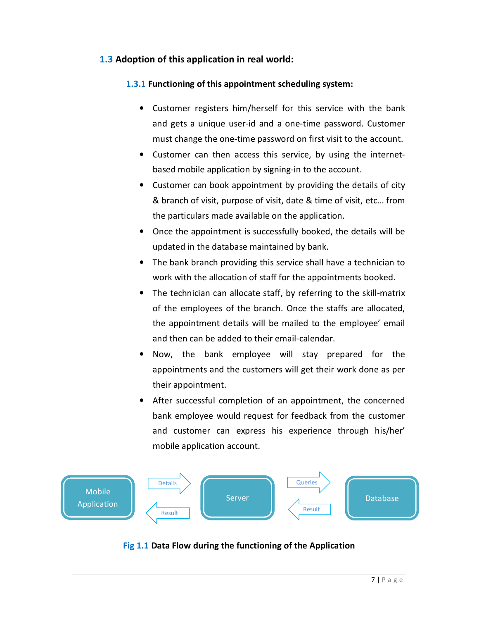#### **1.3 Adoption of this application in real world:**

#### **1.3.1 Functioning of this appointment scheduling system:**

- Customer registers him/herself for this service with the bank and gets a unique user-id and a one-time password. Customer must change the one-time password on first visit to the account.
- Customer can then access this service, by using the internetbased mobile application by signing-in to the account.
- Customer can book appointment by providing the details of city & branch of visit, purpose of visit, date & time of visit, etc… from the particulars made available on the application.
- Once the appointment is successfully booked, the details will be updated in the database maintained by bank.
- The bank branch providing this service shall have a technician to work with the allocation of staff for the appointments booked.
- The technician can allocate staff, by referring to the skill-matrix of the employees of the branch. Once the staffs are allocated, the appointment details will be mailed to the employee' email and then can be added to their email-calendar.
- Now, the bank employee will stay prepared for the appointments and the customers will get their work done as per their appointment.
- After successful completion of an appointment, the concerned bank employee would request for feedback from the customer and customer can express his experience through his/her' mobile application account.



#### **Fig 1.1 Data Flow during the functioning of the Application**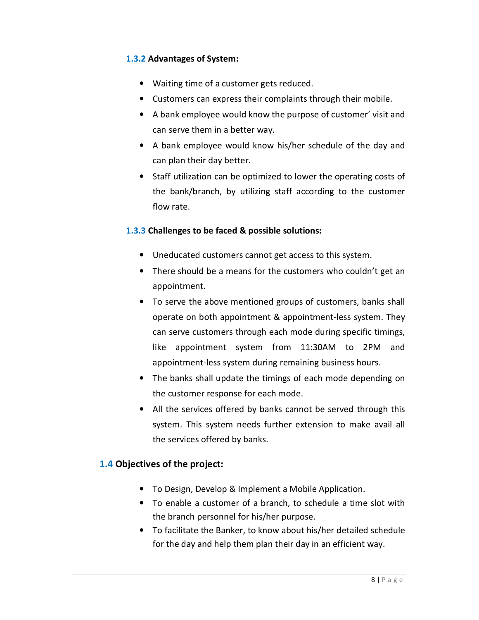#### **1.3.2 Advantages of System:**

- Waiting time of a customer gets reduced.
- Customers can express their complaints through their mobile.
- A bank employee would know the purpose of customer' visit and can serve them in a better way.
- A bank employee would know his/her schedule of the day and can plan their day better.
- Staff utilization can be optimized to lower the operating costs of the bank/branch, by utilizing staff according to the customer flow rate.

#### **1.3.3 Challenges to be faced & possible solutions:**

- Uneducated customers cannot get access to this system.
- There should be a means for the customers who couldn't get an appointment.
- To serve the above mentioned groups of customers, banks shall operate on both appointment & appointment-less system. They can serve customers through each mode during specific timings, like appointment system from 11:30AM to 2PM and appointment-less system during remaining business hours.
- The banks shall update the timings of each mode depending on the customer response for each mode.
- All the services offered by banks cannot be served through this system. This system needs further extension to make avail all the services offered by banks.

#### **1.4 Objectives of the project:**

- To Design, Develop & Implement a Mobile Application.
- To enable a customer of a branch, to schedule a time slot with the branch personnel for his/her purpose.
- To facilitate the Banker, to know about his/her detailed schedule for the day and help them plan their day in an efficient way.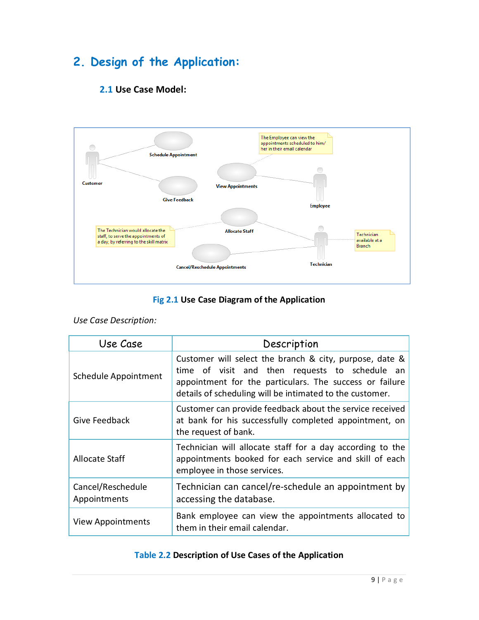# **2. Design of the Application:**





#### **Fig 2.1 Use Case Diagram of the Application**

|  | Use Case Description: |
|--|-----------------------|
|--|-----------------------|

| Use Case                          | Description                                                                                                                                                                                                                      |  |  |  |
|-----------------------------------|----------------------------------------------------------------------------------------------------------------------------------------------------------------------------------------------------------------------------------|--|--|--|
| <b>Schedule Appointment</b>       | Customer will select the branch & city, purpose, date &<br>time of visit and then requests to schedule an<br>appointment for the particulars. The success or failure<br>details of scheduling will be intimated to the customer. |  |  |  |
| Give Feedback                     | Customer can provide feedback about the service received<br>at bank for his successfully completed appointment, on<br>the request of bank.                                                                                       |  |  |  |
| Allocate Staff                    | Technician will allocate staff for a day according to the<br>appointments booked for each service and skill of each<br>employee in those services.                                                                               |  |  |  |
| Cancel/Reschedule<br>Appointments | Technician can cancel/re-schedule an appointment by<br>accessing the database.                                                                                                                                                   |  |  |  |
| View Appointments                 | Bank employee can view the appointments allocated to<br>them in their email calendar.                                                                                                                                            |  |  |  |

#### **Table 2.2 Description of Use Cases of the Application**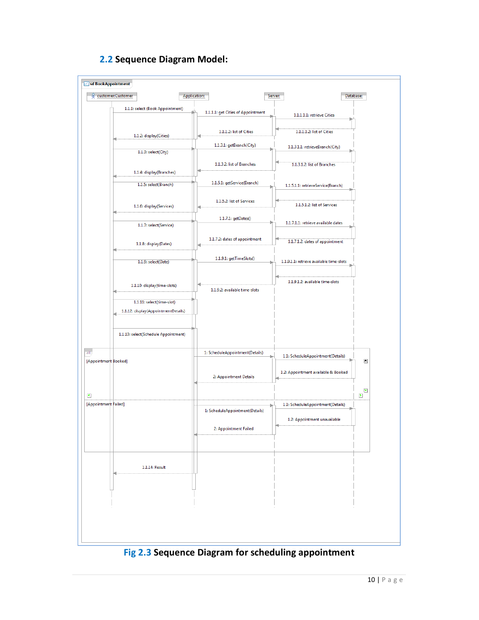

#### **2.2 Sequence Diagram Model:**

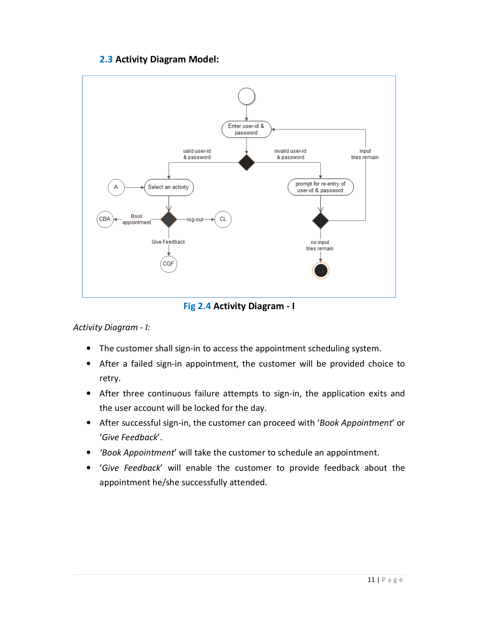#### **2.3 Activity Diagram Model:**



**Fig 2.4 Activity Diagram - I** 

*Activity Diagram - I:* 

- The customer shall sign-in to access the appointment scheduling system.
- After a failed sign-in appointment, the customer will be provided choice to retry.
- After three continuous failure attempts to sign-in, the application exits and the user account will be locked for the day.
- After successful sign-in, the customer can proceed with '*Book Appointment*' or '*Give Feedback*'.
- *'Book Appointment*' will take the customer to schedule an appointment.
- '*Give Feedback*' will enable the customer to provide feedback about the appointment he/she successfully attended.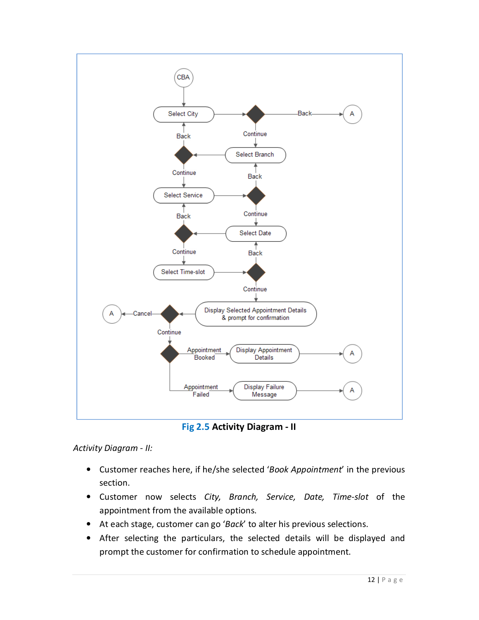

**Fig 2.5 Activity Diagram - II** 

*Activity Diagram - II:* 

- Customer reaches here, if he/she selected '*Book Appointment*' in the previous section.
- Customer now selects *City, Branch, Service, Date, Time-slot* of the appointment from the available options.
- At each stage, customer can go '*Back*' to alter his previous selections.
- After selecting the particulars, the selected details will be displayed and prompt the customer for confirmation to schedule appointment.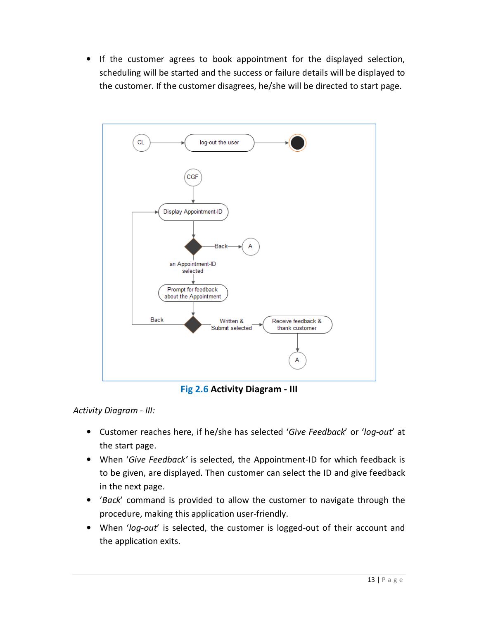• If the customer agrees to book appointment for the displayed selection, scheduling will be started and the success or failure details will be displayed to the customer. If the customer disagrees, he/she will be directed to start page.



**Fig 2.6 Activity Diagram - III** 

*Activity Diagram - III:* 

- Customer reaches here, if he/she has selected '*Give Feedback*' or '*log-out*' at the start page.
- When '*Give Feedback'* is selected, the Appointment-ID for which feedback is to be given, are displayed. Then customer can select the ID and give feedback in the next page.
- '*Back*' command is provided to allow the customer to navigate through the procedure, making this application user-friendly.
- When '*log-out*' is selected, the customer is logged-out of their account and the application exits.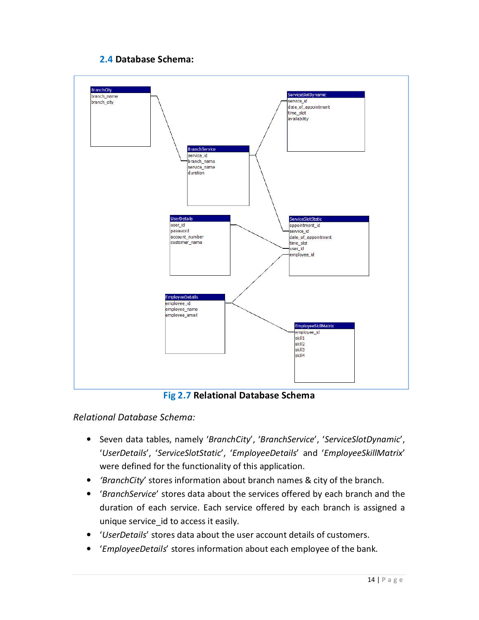#### **2.4 Database Schema:**



**Fig 2.7 Relational Database Schema** 

#### *Relational Database Schema:*

- Seven data tables, namely '*BranchCity*', '*BranchService*', '*ServiceSlotDynamic*', '*UserDetails*', '*ServiceSlotStatic*', '*EmployeeDetails*' and '*EmployeeSkillMatrix*' were defined for the functionality of this application.
- *'BranchCity*' stores information about branch names & city of the branch.
- '*BranchService*' stores data about the services offered by each branch and the duration of each service. Each service offered by each branch is assigned a unique service id to access it easily.
- '*UserDetails*' stores data about the user account details of customers.
- '*EmployeeDetails*' stores information about each employee of the bank.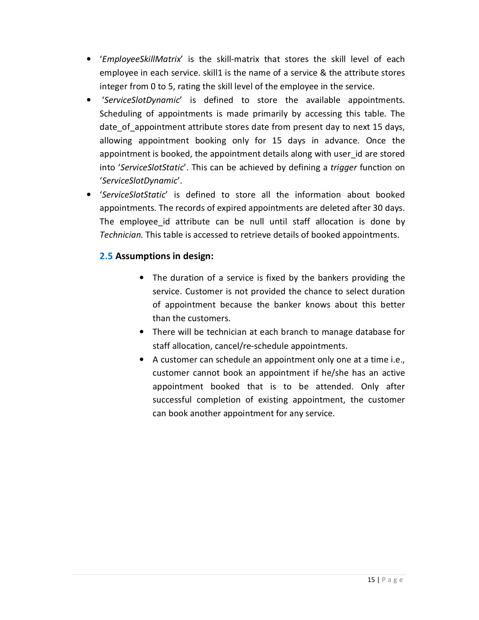- '*EmployeeSkillMatrix*' is the skill-matrix that stores the skill level of each employee in each service. skill1 is the name of a service & the attribute stores integer from 0 to 5, rating the skill level of the employee in the service.
- '*ServiceSlotDynamic*' is defined to store the available appointments. Scheduling of appointments is made primarily by accessing this table. The date of appointment attribute stores date from present day to next 15 days, allowing appointment booking only for 15 days in advance. Once the appointment is booked, the appointment details along with user id are stored into '*ServiceSlotStatic*'. This can be achieved by defining a *trigger* function on '*ServiceSlotDynamic*'.
- '*ServiceSlotStatic*' is defined to store all the information about booked appointments. The records of expired appointments are deleted after 30 days. The employee id attribute can be null until staff allocation is done by *Technician.* This table is accessed to retrieve details of booked appointments.

#### **2.5 Assumptions in design:**

- The duration of a service is fixed by the bankers providing the service. Customer is not provided the chance to select duration of appointment because the banker knows about this better than the customers.
- There will be technician at each branch to manage database for staff allocation, cancel/re-schedule appointments.
- A customer can schedule an appointment only one at a time i.e., customer cannot book an appointment if he/she has an active appointment booked that is to be attended. Only after successful completion of existing appointment, the customer can book another appointment for any service.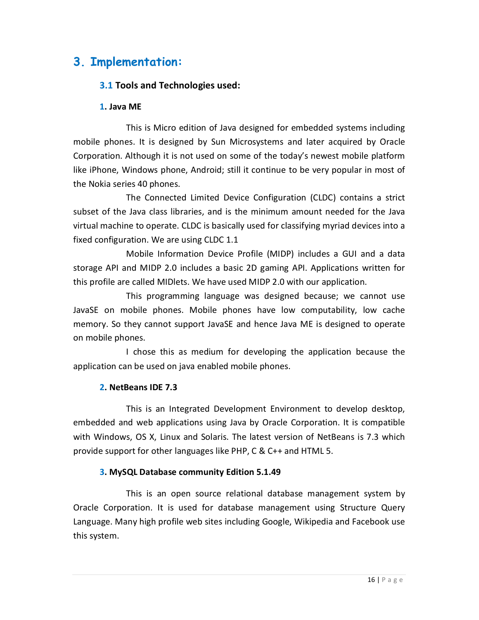# **3. Implementation:**

#### **3.1 Tools and Technologies used:**

#### **1. Java ME**

 This is Micro edition of Java designed for embedded systems including mobile phones. It is designed by Sun Microsystems and later acquired by Oracle Corporation. Although it is not used on some of the today's newest mobile platform like iPhone, Windows phone, Android; still it continue to be very popular in most of the Nokia series 40 phones.

 The Connected Limited Device Configuration (CLDC) contains a strict subset of the Java class libraries, and is the minimum amount needed for the Java virtual machine to operate. CLDC is basically used for classifying myriad devices into a fixed configuration. We are using CLDC 1.1

 Mobile Information Device Profile (MIDP) includes a GUI and a data storage API and MIDP 2.0 includes a basic 2D gaming API. Applications written for this profile are called MIDlets. We have used MIDP 2.0 with our application.

 This programming language was designed because; we cannot use JavaSE on mobile phones. Mobile phones have low computability, low cache memory. So they cannot support JavaSE and hence Java ME is designed to operate on mobile phones.

 I chose this as medium for developing the application because the application can be used on java enabled mobile phones.

#### **2. NetBeans IDE 7.3**

 This is an Integrated Development Environment to develop desktop, embedded and web applications using Java by Oracle Corporation. It is compatible with Windows, OS X, Linux and Solaris. The latest version of NetBeans is 7.3 which provide support for other languages like PHP, C & C++ and HTML 5.

#### **3. MySQL Database community Edition 5.1.49**

 This is an open source relational database management system by Oracle Corporation. It is used for database management using Structure Query Language. Many high profile web sites including Google, Wikipedia and Facebook use this system.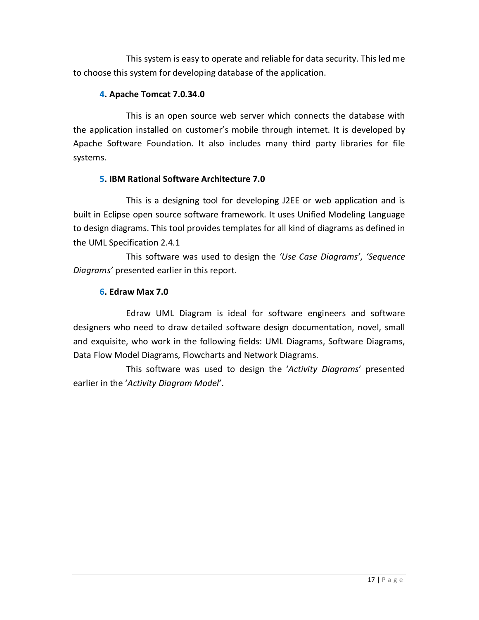This system is easy to operate and reliable for data security. This led me to choose this system for developing database of the application.

#### **4. Apache Tomcat 7.0.34.0**

 This is an open source web server which connects the database with the application installed on customer's mobile through internet. It is developed by Apache Software Foundation. It also includes many third party libraries for file systems.

#### **5. IBM Rational Software Architecture 7.0**

 This is a designing tool for developing J2EE or web application and is built in Eclipse open source software framework. It uses Unified Modeling Language to design diagrams. This tool provides templates for all kind of diagrams as defined in the UML Specification 2.4.1

 This software was used to design the *'Use Case Diagrams'*, *'Sequence Diagrams'* presented earlier in this report.

#### **6. Edraw Max 7.0**

 Edraw UML Diagram is ideal for software engineers and software designers who need to draw detailed software design documentation, novel, small and exquisite, who work in the following fields: UML Diagrams, Software Diagrams, Data Flow Model Diagrams, Flowcharts and Network Diagrams.

 This software was used to design the '*Activity Diagrams*' presented earlier in the '*Activity Diagram Model'*.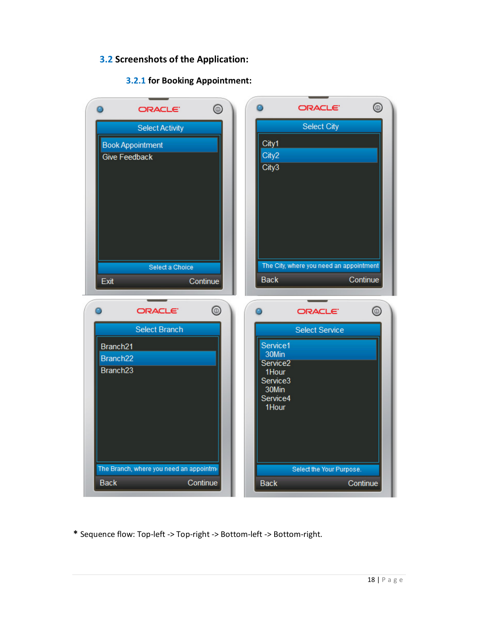### **3.2 Screenshots of the Application:**

#### **3.2.1 for Booking Appointment:**

| ORACLE <sup>®</sup>                                    | $^{\circledR}$ |                               | <b>ORACLE</b>                           | ◉              |
|--------------------------------------------------------|----------------|-------------------------------|-----------------------------------------|----------------|
| <b>Select Activity</b>                                 |                |                               | <b>Select City</b>                      |                |
| <b>Book Appointment</b>                                |                | City1                         |                                         |                |
| <b>Give Feedback</b>                                   |                | City2                         |                                         |                |
|                                                        |                | City3                         |                                         |                |
| Select a Choice                                        |                |                               | The City, where you need an appointment |                |
| Exit                                                   | Continue       | <b>Back</b>                   |                                         | Continue       |
| ORACLE <sup>®</sup>                                    | ◉              | Θ                             | <b>ORACLE</b>                           | $^{\circledR}$ |
| <b>Select Branch</b>                                   |                |                               | <b>Select Service</b>                   |                |
| Branch <sub>21</sub>                                   |                | Service1                      |                                         |                |
| Branch <sub>22</sub>                                   |                | 30Min<br>Service <sub>2</sub> |                                         |                |
| Branch <sub>23</sub>                                   |                | 1Hour<br>Service3             |                                         |                |
|                                                        |                | 30Min<br>Service4             |                                         |                |
|                                                        |                | 1Hour                         |                                         |                |
|                                                        |                |                               |                                         |                |
| The Branch, where you need an appointme<br><b>Back</b> | Continue       | <b>Back</b>                   | Select the Your Purpose.                | Continue       |

**\*** Sequence flow: Top-left -> Top-right -> Bottom-left -> Bottom-right.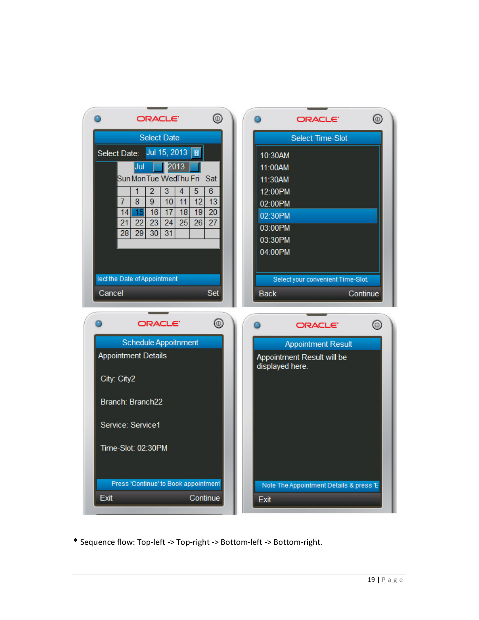

**\*** Sequence flow: Top-left -> Top-right -> Bottom-left -> Bottom-right.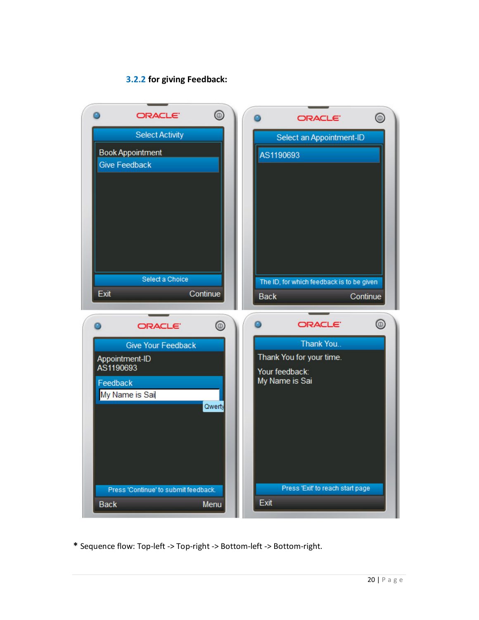## **3.2.2 for giving Feedback:**

|           | <b>ORACLE</b>                                   | ◉        |             | <b>ORACLE</b>                             | ◉        |
|-----------|-------------------------------------------------|----------|-------------|-------------------------------------------|----------|
|           | <b>Select Activity</b>                          |          |             | Select an Appointment-ID                  |          |
|           | <b>Book Appointment</b><br><b>Give Feedback</b> |          | AS1190693   |                                           |          |
|           |                                                 |          |             |                                           |          |
|           |                                                 |          |             |                                           |          |
|           |                                                 |          |             |                                           |          |
|           |                                                 |          |             |                                           |          |
|           |                                                 |          |             |                                           |          |
|           | Select a Choice                                 |          |             | The ID, for which feedback is to be given |          |
| Exit      |                                                 | Continue | <b>Back</b> |                                           | Continue |
|           |                                                 |          |             |                                           |          |
|           | <b>ORACLE</b>                                   | ◉        |             | <b>ORACLE</b>                             | ◉        |
|           | <b>Give Your Feedback</b><br>Appointment-ID     |          |             | Thank You<br>Thank You for your time.     |          |
| AS1190693 |                                                 |          |             | Your feedback:                            |          |
| Feedback  |                                                 |          |             |                                           |          |
|           |                                                 |          |             | My Name is Sai                            |          |
|           | My Name is Sai                                  | Qwerty   |             |                                           |          |
|           |                                                 |          |             |                                           |          |
|           |                                                 |          |             |                                           |          |
|           |                                                 |          |             |                                           |          |
|           | Press 'Continue' to submit feedback.            |          |             | Press 'Exit' to reach start page          |          |

**\*** Sequence flow: Top-left -> Top-right -> Bottom-left -> Bottom-right.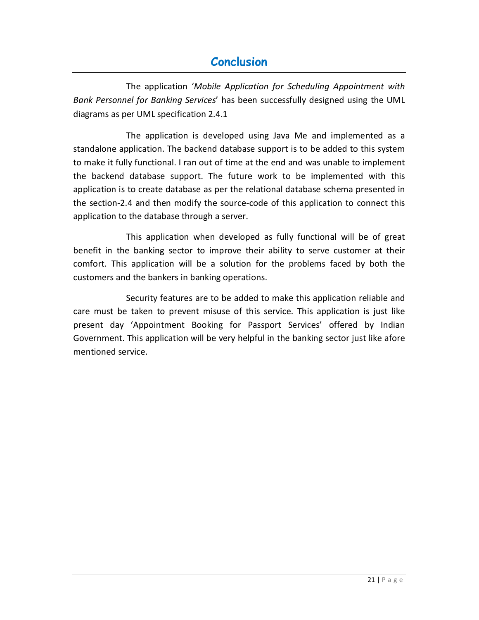# **Conclusion**

The application '*Mobile Application for Scheduling Appointment with Bank Personnel for Banking Services*' has been successfully designed using the UML diagrams as per UML specification 2.4.1

 The application is developed using Java Me and implemented as a standalone application. The backend database support is to be added to this system to make it fully functional. I ran out of time at the end and was unable to implement the backend database support. The future work to be implemented with this application is to create database as per the relational database schema presented in the section-2.4 and then modify the source-code of this application to connect this application to the database through a server.

 This application when developed as fully functional will be of great benefit in the banking sector to improve their ability to serve customer at their comfort. This application will be a solution for the problems faced by both the customers and the bankers in banking operations.

 Security features are to be added to make this application reliable and care must be taken to prevent misuse of this service. This application is just like present day 'Appointment Booking for Passport Services' offered by Indian Government. This application will be very helpful in the banking sector just like afore mentioned service.